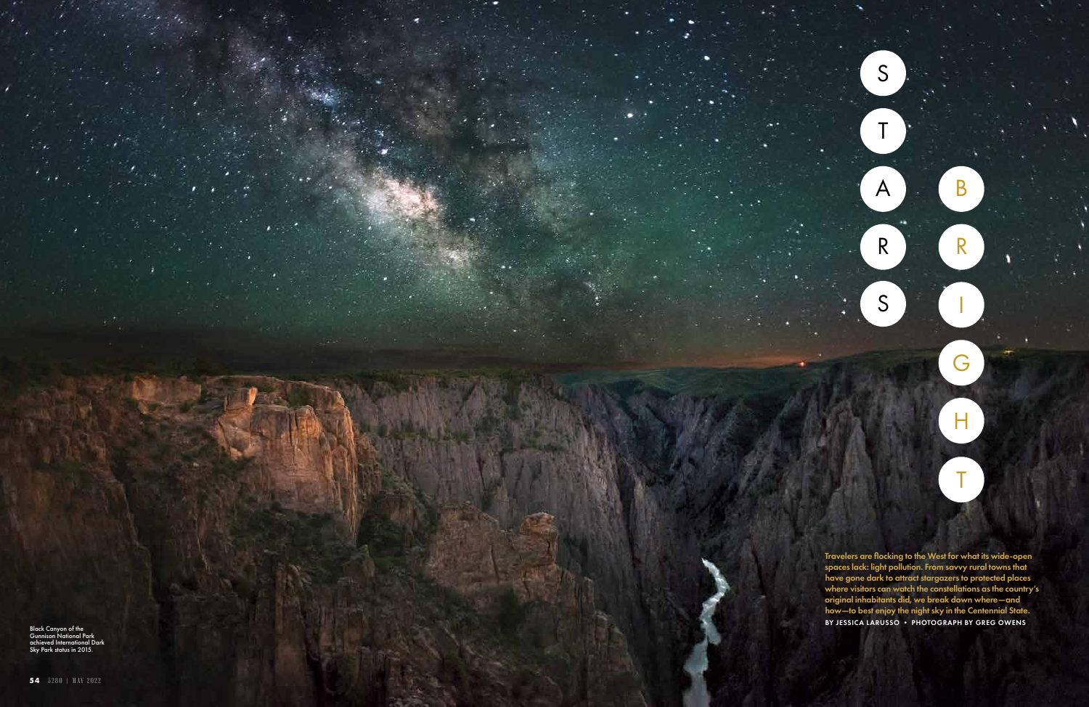Travelers are flocking to the West for what its wide-open spaces lack: light pollution. From savvy rural towns that have gone dark to attract stargazers to protected places where visitors can watch the constellations as the country's original inhabitants did, we break down where—and how—to best enjoy the night sky in the Centennial State. BY JESSICA LARUSSO • PHOTOGRAPH BY GREG OWENS STA

RIGHT T

R<br>S

B

Black Canyon of the Gunnison National Park achieved International Dark Sky Park status in 2015.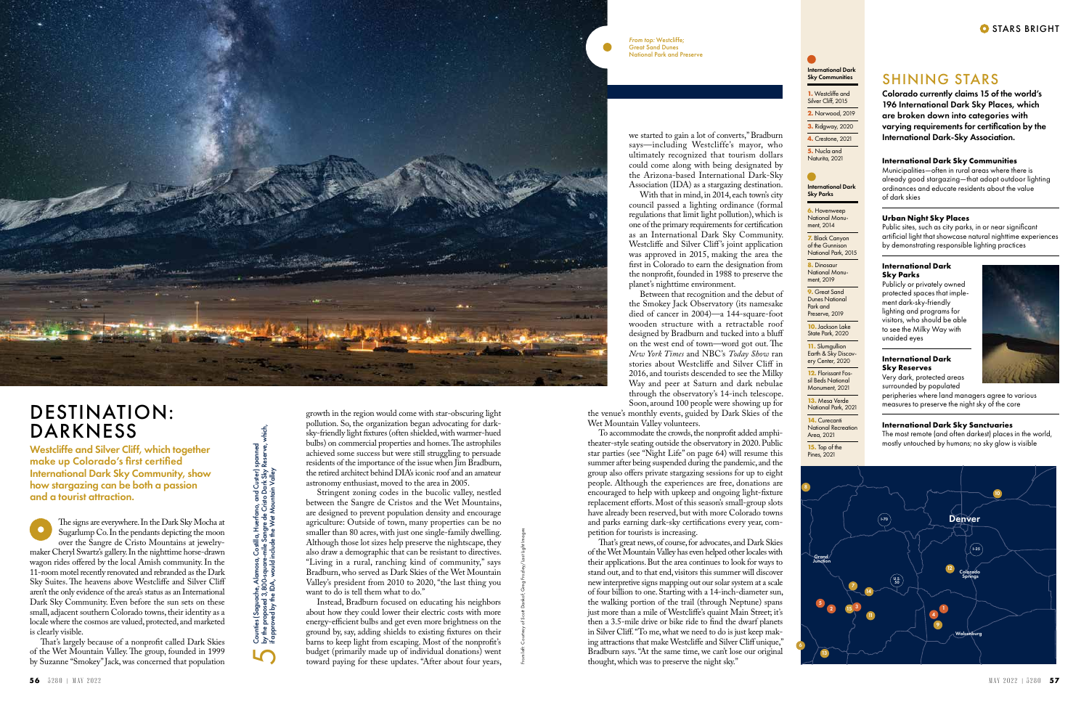#### **International Dark Sky Communities**

Municipalities—often in rural areas where there is already good stargazing—that adopt outdoor lighting ordinances and educate residents about the value of dark skies

#### **Urban Night Sky Places**

Public sites, such as city parks, in or near significant artificial light that showcase natural nighttime experiences by demonstrating responsible lighting practices

#### **International Dark Sky Parks**

Publicly or privately owned protected spaces that implement dark-sky-friendly lighting and programs for visitors, who should be able to see the Milky Way with unaided eyes

#### **International Dark Sky Reserves** Very dark, protected areas

surrounded by populated



peripheries where land managers agree to various measures to preserve the night sky of the core

#### **International Dark Sky Sanctuaries**

The most remote (and often darkest) places in the world, mostly untouched by humans; no sky glow is visible

# SHINING STARS

Colorado currently claims 15 of the world's 196 International Dark Sky Places, which are broken down into categories with varying requirements for certification by the International Dark-Sky Association.

The signs are everywhere. In the Dark Sky Mocha at  $\bullet$ Sugarlump Co. In the pendants depicting the moon over the Sangre de Cristo Mountains at jewelrymaker Cheryl Swartz's gallery. In the nighttime horse-drawn wagon rides offered by the local Amish community. In the 11-room motel recently renovated and rebranded as the Dark Sky Suites. The heavens above Westcliffe and Silver Cliff aren't the only evidence of the area's status as an International Dark Sky Community. Even before the sun sets on these small, adjacent southern Colorado towns, their identity as a locale where the cosmos are valued, protected, and marketed is clearly visible.

That's largely because of a nonprofit called Dark Skies of the Wet Mountain Valley. The group, founded in 1999 by Suzanne "Smokey" Jack, was concerned that population growth in the region would come with star-obscuring light pollution. So, the organization began advocating for darksky-friendly light fixtures (often shielded, with warmer-hued bulbs) on commercial properties and homes. The astrophiles achieved some success but were still struggling to persuade residents of the importance of the issue when Jim Bradburn, the retired architect behind DIA's iconic roof and an amateur astronomy enthusiast, moved to the area in 2005.

the venue's monthly events, guided by Dark Skies of the Wet Mountain Valley volunteers.

Stringent zoning codes in the bucolic valley, nestled between the Sangre de Cristos and the Wet Mountains, are designed to prevent population density and encourage agriculture: Outside of town, many properties can be no smaller than 80 acres, with just one single-family dwelling. Although those lot sizes help preserve the nightscape, they also draw a demographic that can be resistant to directives. "Living in a rural, ranching kind of community," says Bradburn, who served as Dark Skies of the Wet Mountain Valley's president from 2010 to 2020, "the last thing you want to do is tell them what to do."

by the proposed 3,800-square-mile Sangre de Cristo Dark Sky Reserve, which, Counties (Saguache, Alamosa, Costilla, Huerfano, and Custer) spanned Custer) s<br>ark Sky F<br>n Valley if approved by the IDA, would include the Wet Mountain Valley Counies (Saguache, Alamosa, Cosiilla, Huerfano, and (<br>by the proposed 3,800-square-mile Sangre de Cristo Do<br>if approved by the IDA, would include the Wet Mountain  $\overline{5}$ 

Instead, Bradburn focused on educating his neighbors about how they could lower their electric costs with more energy-efficient bulbs and get even more brightness on the ground by, say, adding shields to existing fixtures on their barns to keep light from escaping. Most of the nonprofit's budget (primarily made up of individual donations) went toward paying for these updates. "After about four years,

**9.** Great Sand Dunes National Park and Preserve, 2019

we started to gain a lot of converts," Bradburn says—including Westcliffe's mayor, who ultimately recognized that tourism dollars could come along with being designated by the Arizona-based International Dark-Sky Association (IDA) as a stargazing destination.

With that in mind, in 2014, each town's city council passed a lighting ordinance (formal regulations that limit light pollution), which is one of the primary requirements for certification as an International Dark Sky Community. Westcliffe and Silver Cliff's joint application was approved in 2015, making the area the first in Colorado to earn the designation from the nonprofit, founded in 1988 to preserve the planet's nighttime environment.

Between that recognition and the debut of the Smokey Jack Observatory (its namesake died of cancer in 2004)—a 144-square-foot wooden structure with a retractable roof designed by Bradburn and tucked into a bluff on the west end of town—word got out. The *New York Times* and NBC's *Today Show* ran stories about Westcliffe and Silver Cliff in 2016, and tourists descended to see the Milky Way and peer at Saturn and dark nebulae through the observatory's 14-inch telescope. Soon, around 100 people were showing up for

To accommodate the crowds, the nonprofit added amphitheater-style seating outside the observatory in 2020. Public star parties (see "Night Life" on page 64) will resume this summer after being suspended during the pandemic, and the group also offers private stargazing sessions for up to eight people. Although the experiences are free, donations are encouraged to help with upkeep and ongoing light-fixture replacement efforts. Most of this season's small-group slots have already been reserved, but with more Colorado towns and parks earning dark-sky certifications every year, competition for tourists is increasing.

That's great news, of course, for advocates, and Dark Skies of the Wet Mountain Valley has even helped other locales with their applications. But the area continues to look for ways to stand out, and to that end, visitors this summer will discover new interpretive signs mapping out our solar system at a scale of four billion to one. Starting with a 14-inch-diameter sun, the walking portion of the trail (through Neptune) spans just more than a mile of Westcliffe's quaint Main Street; it's then a 3.5-mile drive or bike ride to find the dwarf planets in Silver Cliff. "To me, what we need to do is just keep making attractions that make Westcliffe and Silver Cliff unique," Bradburn says. "At the same time, we can't lose our original thought, which was to preserve the night sky."



6

International Dark Sky Parks

**6.** Hovenweep National Monument, 2014

**7.** Black Canyon of the Gunnison National Park, 2015

**8.** Dinosaur National Monument, 2019

**10.** Jackson Lake State Park, 2020

**11.** Slumgullion Earth & Sky Discovery Center, 2020

**12.** Florissant Fossil Beds National Monument, 2021

**13.** Mesa Verde National Park, 2021

**14.** Curecanti **National Recreation** Area, 2021

**15.** Top of the Pines, 2021

#### International Dark Sky Communities

**1.** Westcliffe and Silver Cliff, 2015

**2.** Norwood, 2019

**3.** Ridgway, 2020 **4.** Crestone, 2021

**5.** Nucla and Naturita, 2021

# DESTINATION: DARKNESS

Westcliffe and Silver Cliff, which together make up Colorado's first certified International Dark Sky Community, show how stargazing can be both a passion and a tourist attraction.

From left: Courtesy of Scott Dankof; Greg Frozley/Last Light Images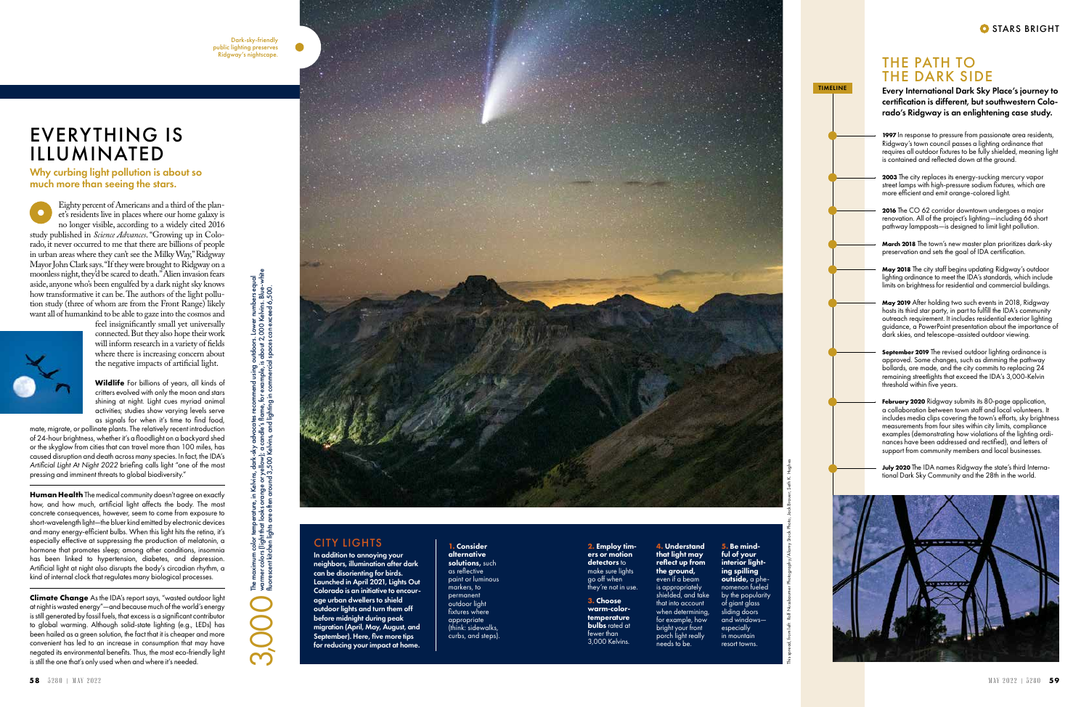Eighty percent of Americans and a third of the plan et's residents live in places where our home galaxy is no longer visible, according to a widely cited 2016 study published in *Science Advances*. "Growing up in Colo rado, it never occurred to me that there are billions of people in urban areas where they can't see the Milky Way," Ridgway Mayor John Clark says. "If they were brought to Ridgway on a moonless night, they'd be scared to death." Alien invasion fears aside, anyone who's been engulfed by a dark night sky knows how transformative it can be. The authors of the light pollu tion study (three of whom are from the Front Range) likely want all of humankind to be able to gaze into the cosmos and



### feel insignificantly small yet universally connected. But they also hope their work will inform research in a variety of fields where there is increasing concern about the negative impacts of artificial light.

**Wildlife** For billions of years, all kinds of critters evolved with only the moon and stars shining at night. Light cues myriad animal activities; studies show varying levels serve as signals for when it's time to find food,

**Human Health** The medical community doesn't agree on exactly how, and how much, artificial light affects the body. The most concrete consequences, however, seem to come from exposure to short-wavelength light—the bluer kind emitted by electronic devices and many energy-efficient bulbs. When this light hits the retina, it's especially effective at suppressing the production of melatonin, a hormone that promotes sleep; among other conditions, insomnia has been linked to hypertension, diabetes, and depression. Artificial light at night also disrupts the body's circadian rhythm, a kind of internal clock that regulates many biological processes.

mate, migrate, or pollinate plants. The relatively recent introduction of 24-hour brightness, whether it's a floodlight on a backyard shed or the skyglow from cities that can travel more than 100 miles, has caused disruption and death across many species. In fact, the IDA's *Artificial Light At Night 2022* briefing calls light "one of the most pressing and imminent threats to global biodiversity."

July 2020 The IDA names Ridgway the state's third International Dark Sky Community and the 28th in the world.



**Climate Change** As the IDA's report says, "wasted outdoor light at night is wasted energy"—and because much of the world's energy is still generated by fossil fuels, that excess is a significant contributor to global warming. Although solid-state lighting (e.g., LEDs) has been hailed as a green solution, the fact that it is cheaper and more convenient has led to an increase in consumption that may have negated its environmental benefits. Thus, the most eco-friendly light is still the one that's only used when and where it's needed.

## THE PATH TO THE DARK SIDE

Every International Dark Sky Place's journey to certification is different, but southwestern Colo rado's Ridgway is an enlightening case study.

**1997** In response to pressure from passionate area residents, Ridgway's town council passes a lighting ordinance that requires all outdoor fixtures to be fully shielded, meaning light is contained and reflected down at the ground.

The maximum color temperature, in Kelvins, dark-sky advocates recommend using outdoors. Lower numbers equal warmer colors (light that looks orange or yellow); a candle's flame, for example, is about 2,000 Kelvins. Blue-white The maximum color temperature, in Kelvins, dark-sky advocates recommend using outdoors. Lower numbers eq.  $\bigcirc$  warmer colors (light that looks orange or yellow); a candle's flame, for example, is about 2,000 Kelvins. Blu **2003** The city replaces its energy-sucking mercury vapor street lamps with high-pressure sodium fixtures, which are more efficient and emit orange-colored light.

**2016** The CO 62 corridor downtown undergoes a major renovation. All of the project's lighting—including 66 short pathway lampposts—is designed to limit light pollution.

**March 2018** The town's new master plan prioritizes dark-sky preservation and sets the goal of IDA certification.

**May 2018** The city staff begins updating Ridgway's outdoor lighting ordinance to meet the IDA's standards, which include limits on brightness for residential and commercial buildings.

**May 2019** After holding two such events in 2018, Ridgway hosts its third star party, in part to fulfill the IDA's community outreach requirement. It includes residential exterior lighting guidance, a PowerPoint presentation about the importance of dark skies, and telescope-assisted outdoor viewing.

**September 2019** The revised outdoor lighting ordinance is approved. Some changes, such as dimming the pathway bollards, are made, and the city commits to replacing 24 remaining streetlights that exceed the IDA's 3,000-Kelvin threshold within five years.

**February 2020** Ridgway submits its 80-page application, a collaboration between town staff and local volunteers. It includes media clips covering the town's efforts, sky brightness measurements from four sites within city limits, compliance examples (demonstrating how violations of the lighting ordi nances have been addressed and rectified), and letters of support from community members and local businesses.

# EVERYTHING IS ILLUMINATED

Why curbing light pollution is about so much more than seeing the stars.

### CITY LIGHTS

In addition to annoying your neighbors, illumination after dark can be disorienting for birds. Launched in April 2021, Lights Out Colorado is an initiative to encour age urban dwellers to shield outdoor lights and turn them off before midnight during peak migration (April, May, August, and September). Here, five more tips for reducing your impact at home.

**3.** Choose warm-colortemperature **bulbs** rated at fewer than 3,000 Kelvins.

**1.** Consider alternative solutions, such as reflective paint or luminous markers, to permanent outdoor light fixtures where appropriate (think: sidewalks, curbs, and steps).

#### **4.** Understand that light may reflect up from the ground, even if a beam is appropriately shielded, and take that into account when determining, for example, how bright your front porch light really needs to be.

**2.** Employ tim ers or motion detectors to make sure lights go off when

they're not in use.

**5.** Be mindful of your interior lighting spilling outside, a phenomenon fueled by the popularity of giant glass sliding doors and windows especially in mountain resort towns.

fluorescent kitchen lights are often around 3,500 Kelvins, and lighting in commercial spaces can exceed 6,500.



TIMELINE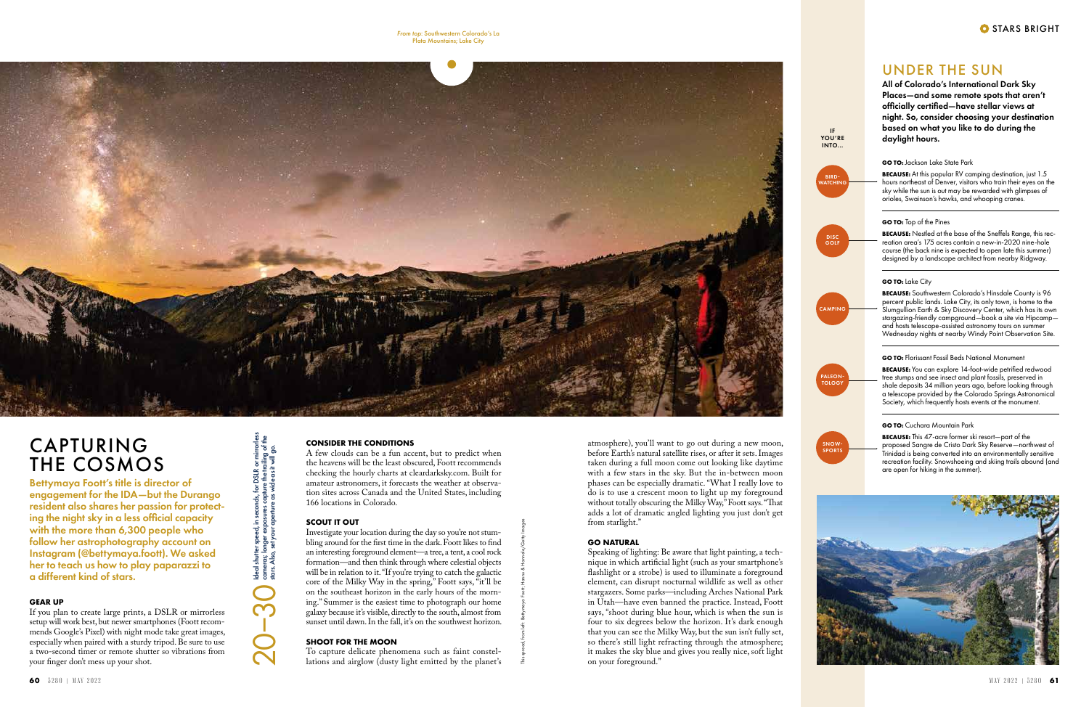This spread, from left: Bettymaya Foott; Hannu & Hannele/Getty Images

#### **GEAR UP**

If you plan to create large prints, a DSLR or mirrorless setup will work best, but newer smartphones (Foott recommends Google's Pixel) with night mode take great images, especially when paired with a sturdy tripod. Be sure to use a two-second timer or remote shutter so vibrations from your finger don't mess up your shot.

Investigate your location during the day so you're not stumbling around for the first time in the dark. Foott likes to find an interesting foreground element—a tree, a tent, a cool rock formation—and then think through where celestial objects will be in relation to it. "If you're trying to catch the galactic core of the Milky Way in the spring," Foott says, "it'll be on the southeast horizon in the early hours of the morning." Summer is the easiest time to photograph our home galaxy because it's visible, directly to the south, almost from sunset until dawn. In the fall, it's on the southwest horizon.

#### **CONSIDER THE CONDITIONS**

A few clouds can be a fun accent, but to predict when the heavens will be the least obscured, Foott recommends checking the hourly charts at cleardarksky.com. Built for amateur astronomers, it forecasts the weather at observation sites across Canada and the United States, including 166 locations in Colorado.

#### **SCOUT IT OUT**

#### **SHOOT FOR THE MOON**

To capture delicate phenomena such as faint constellations and airglow (dusty light emitted by the planet's



# CAPTURING THE COSMOS

Bettymaya Foott's title is director of engagement for the IDA—but the Durango resident also shares her passion for protecting the night sky in a less official capacity with the more than 6,300 people who follow her astrophotography account on Instagram (@bettymaya.foott). We asked her to teach us how to play paparazzi to a different kind of stars.

**BECAUSE:** At this popular RV camping destination, just 1.5 hours northeast of Denver, visitors who train their eyes on the sky while the sun is out may be rewarded with glimpses of orioles, Swainson's hawks, and whooping cranes.

atmosphere), you'll want to go out during a new moon, before Earth's natural satellite rises, or after it sets. Images taken during a full moon come out looking like daytime with a few stars in the sky. But the in-between moon phases can be especially dramatic. "What I really love to do is to use a crescent moon to light up my foreground without totally obscuring the Milky Way," Foott says. "That adds a lot of dramatic angled lighting you just don't get from starlight."

**BECAUSE:** You can explore 14-foot-wide petrified redwood tree stumps and see insect and plant fossils, preserved in shale deposits 34 million years ago, before looking through a telescope provided by the Colorado Springs Astronomical Society, which frequently hosts events at the monument.

#### **GO NATURAL**

Speaking of lighting: Be aware that light painting, a technique in which artificial light (such as your smartphone's flashlight or a strobe) is used to illuminate a foreground element, can disrupt nocturnal wildlife as well as other stargazers. Some parks—including Arches National Park in Utah—have even banned the practice. Instead, Foott says, "shoot during blue hour, which is when the sun is four to six degrees below the horizon. It's dark enough that you can see the Milky Way, but the sun isn't fully set, so there's still light refracting through the atmosphere; it makes the sky blue and gives you really nice, soft light on your foreground."

Ideal shutter speed, in seconds, for DSLR or mirrorless cameras; longer exposures capture the trailing of the stars. Also, set your aperture as wide as it will go.

ldeal shutter speed, in seconds, for DSLR or mirro<br>cameras; longer exposures capture the trailing of<br>stars. Also, set your aperture as wide as it will go.

20

–30

### UNDER THE SUN

All of Colorado's International Dark Sky Places—and some remote spots that aren't officially certified—have stellar views at night. So, consider choosing your destination based on what you like to do during the daylight hours.

**GO TO:** Jackson Lake State Park

#### **GO TO:** Top of the Pines

**BECAUSE:** Nestled at the base of the Sneffels Range, this recreation area's 175 acres contain a new-in-2020 nine-hole course (the back nine is expected to open late this summer) designed by a landscape architect from nearby Ridgway.

#### **GO TO:** Lake City

**BECAUSE:** Southwestern Colorado's Hinsdale County is 96 percent public lands. Lake City, its only town, is home to the Slumgullion Earth & Sky Discovery Center, which has its own stargazing-friendly campground—book a site via Hipcamp and hosts telescope-assisted astronomy tours on summer Wednesday nights at nearby Windy Point Observation Site.

**GO TO:** Florissant Fossil Beds National Monument

#### **GO TO:** Cuchara Mountain Park

**BECAUSE:** This 47-acre former ski resort—part of the proposed Sangre de Cristo Dark Sky Reserve—northwest of Trinidad is being converted into an environmentally sensitive recreation facility. Snowshoeing and skiing trails abound (and are open for hiking in the summer).





IF YOU'RE





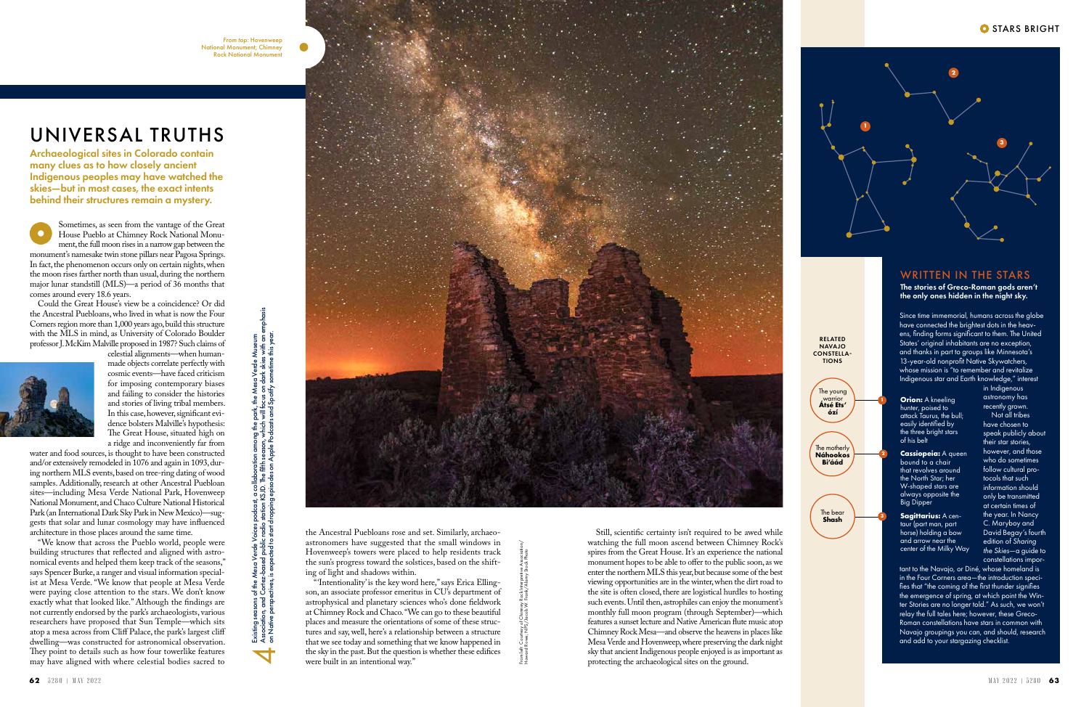Sometimes, as seen from the vantage of the Great House Pueblo at Chimney Rock National Monument, the full moon rises in a narrow gap between the monument's namesake twin stone pillars near Pagosa Springs. In fact, the phenomenon occurs only on certain nights, when the moon rises farther north than usual, during the northern major lunar standstill (MLS)—a period of 36 months that comes around every 18.6 years.

Could the Great House's view be a coincidence? Or did the Ancestral Puebloans, who lived in what is now the Four Corners region more than 1,000 years ago, build this structure with the MLS in mind, as University of Colorado Boulder professor J. McKim Malville proposed in 1987? Such claims of

celestial alignments—when humanmade objects correlate perfectly with cosmic events—have faced criticism for imposing contemporary biases and failing to consider the histories and stories of living tribal members. In this case, however, significant evidence bolsters Malville's hypothesis: The Great House, situated high on a ridge and inconveniently far from water and food sources, is thought to have been constructed and/or extensively remodeled in 1076 and again in 1093, dur-

ing northern MLS events, based on tree-ring dating of wood samples. Additionally, research at other Ancestral Puebloan sites—including Mesa Verde National Park, Hovenweep National Monument, and Chaco Culture National Historical Park (an International Dark Sky Park in New Mexico)—suggests that solar and lunar cosmology may have influenced

architecture in those places around the same time.



The stories of Greco-Roman gods aren't the only ones hidden in the night sky.

"We know that across the Pueblo world, people were building structures that reflected and aligned with astronomical events and helped them keep track of the seasons," says Spencer Burke, a ranger and visual information specialist at Mesa Verde. "We know that people at Mesa Verde were paying close attention to the stars. We don't know exactly what that looked like." Although the findings are not currently endorsed by the park's archaeologists, various researchers have proposed that Sun Temple—which sits atop a mesa across from Cliff Palace, the park's largest cliff dwelling—was constructed for astronomical observation. They point to details such as how four towerlike features may have aligned with where celestial bodies sacred to

the Ancestral Puebloans rose and set. Similarly, archaeoastronomers have suggested that the small windows in Hovenweep's towers were placed to help residents track the sun's progress toward the solstices, based on the shifting of light and shadows within.

"'Intentionality' is the key word here," says Erica Ellingson, an associate professor emeritus in CU's department of astrophysical and planetary sciences who's done fieldwork at Chimney Rock and Chaco. "We can go to these beautiful places and measure the orientations of some of these structures and say, well, here's a relationship between a structure that we see today and something that we know happened in the sky in the past. But the question is whether these edifices were built in an intentional way."

Example the set of the set of the set of the set of the set of the set of the set of the set of the set of the set of the set of the set of the set of the set of the set of the set of the set of the set of the set of the s Still, scientific certainty isn't required to be awed while watching the full moon ascend between Chimney Rock's spires from the Great House. It's an experience the national monument hopes to be able to offer to the public soon, as we enter the northern MLS this year, but because some of the best viewing opportunities are in the winter, when the dirt road to the site is often closed, there are logistical hurdles to hosting such events. Until then, astrophiles can enjoy the monument's monthly full moon program (through September)—which features a sunset lecture and Native American flute music atop Chimney Rock Mesa—and observe the heavens in places like Mesa Verde and Hovenweep, where preserving the dark night sky that ancient Indigenous people enjoyed is as important as protecting the archaeological sites on the ground.

**Orion:** A kneeling hunter, poised to attack Taurus, the bull; easily identified by the three bright stars of his belt

**Cassiopeia:** A queen bound to a chair that revolves around the North Star; her W-shaped stars are always opposite the Big Dipper

# UNIVERSAL TRUTHS

Archaeological sites in Colorado contain many clues as to how closely ancient Indigenous peoples may have watched the skies—but in most cases, the exact intents behind their structures remain a mystery.

Existing seasons of the *Mesa Verde Voices* podcast, a collaboration among the park, the Mesa Verde Museum

Association, and Cortez-based public radio station KSJD. The fifth season, which will focus on dark skies with an emphasis on Native perspectives, is expected to start dropping episodes on Apple Podcasts and Spotify sometime this year.

 $\overline{\blacktriangleleft}$ 





Since time immemorial, humans across the globe have connected the brightest dots in the heavens, finding forms significant to them. The United States' original inhabitants are no exception, and thanks in part to groups like Minnesota's 13-year-old nonprofit Native Skywatchers, whose mission is "to remember and revitalize Indigenous star and Earth knowledge," interest

in Indigenous astronomy has recently grown.

Not all tribes have chosen to speak publicly about their star stories, however, and those who do sometimes follow cultural protocols that such information should only be transmitted at certain times of the year. In Nancy C. Maryboy and David Begay's fourth edition of *Sharing the Skies*—a guide to constellations impor-

tant to the Navajo, or Diné, whose homeland is in the Four Corners area—the introduction specifies that "the coming of the first thunder signifies the emergence of spring, at which point the Winter Stories are no longer told." As such, we won't relay the full tales here; however, these Greco-Roman constellations have stars in common with Navajo groupings you can, and should, research and add to your stargazing checklist.

**Sagittarius:** A centaur (part man, part horse) holding a bow and arrow near the center of the Milky Way



**2**

**3**